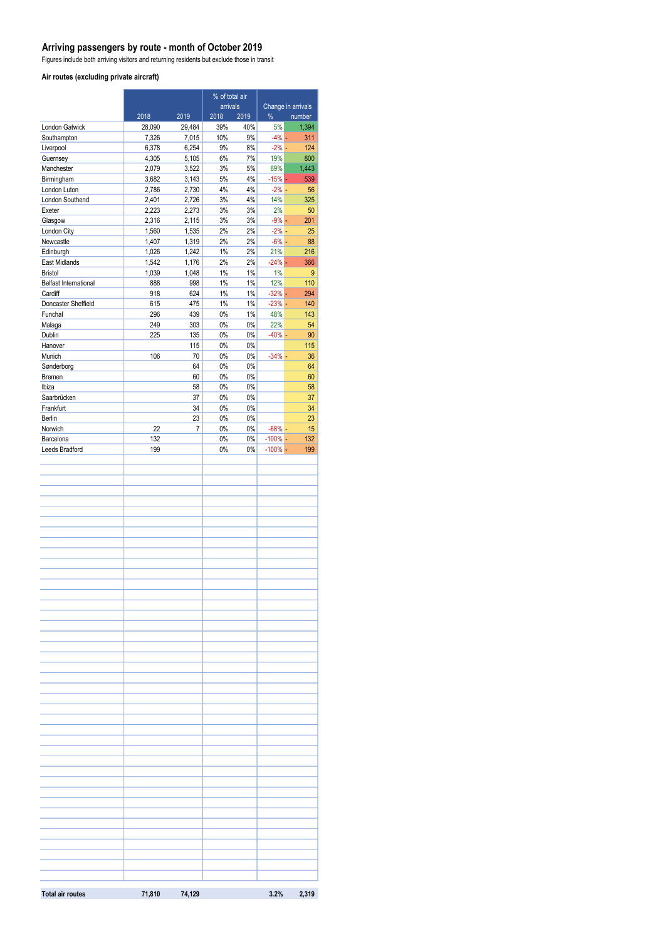#### **Arriving passengers by route - month of October 2019**

Figures include both arriving visitors and returning residents but exclude those in transit

#### **Air routes (excluding private aircraft)**

|                                 |                | % of total air |                  |             |                   |                              |
|---------------------------------|----------------|----------------|------------------|-------------|-------------------|------------------------------|
|                                 | 2018           | 2019           | arrivals<br>2018 | 2019        | %                 | Change in arrivals<br>number |
| London Gatwick                  | 28,090         | 29,484         | 39%              | 40%         | 5%                | 1,394                        |
| Southampton                     | 7,326          | 7,015          | 10%              | 9%          | $-4%$ -           | 311                          |
| Liverpool                       | 6,378          | 6,254          | 9%               | 8%          | $-2\%$ -          | 124                          |
| Guernsey                        | 4,305          | 5,105          | 6%               | 7%          | 19%               | 800                          |
| Manchester<br>Birmingham        | 2,079<br>3,682 | 3,522<br>3,143 | 3%<br>5%         | 5%<br>4%    | 69%<br>$-15%$ $-$ | 1,443<br>539                 |
| London Luton                    | 2,786          | 2,730          | 4%               | 4%          | $-2\% -$          | 56                           |
| London Southend                 | 2,401          | 2,726          | 3%               | 4%          | 14%               | 325                          |
| Exeter                          | 2,223          | 2,273          | 3%               | 3%          | 2%                | 50                           |
| Glasgow                         | 2,316          | 2,115          | 3%               | 3%          | $-9\%$ $-$        | 201                          |
| London City                     | 1,560          | 1,535          | 2%               | 2%          | $-2\%$ -          | 25                           |
| Newcastle                       | 1,407          | 1,319          | 2%               | 2%          | $-6%$ -           | 88                           |
| Edinburgh                       | 1,026<br>1,542 | 1,242          | $1\%$<br>2%      | 2%<br>2%    | 21%<br>$-24% -$   | 216                          |
| East Midlands<br><b>Bristol</b> | 1,039          | 1,176<br>1,048 | $1\%$            | $1\%$       | 1%                | 366<br>9                     |
| Belfast International           | 888            | 998            | 1%               | $1\%$       | 12%               | 110                          |
| Cardiff                         | 918            | 624            | $1\%$            | $1\%$       | $-32%$ $-$        | 294                          |
| Doncaster Sheffield             | 615            | 475            | $1\%$            | $1\%$       | $-23%$ -          | 140                          |
| Funchal                         | 296            | 439            | $0\%$            | 1%          | 48%               | 143                          |
| Malaga                          | 249            | 303            | $0\%$            | $0\%$       | 22%               | 54                           |
| Dublin                          | 225            | 135            | $0\%$            | $0\%$       | $-40% -$          | 90                           |
| Hanover                         |                | 115            | $0\%$            | 0%          |                   | 115                          |
| Munich<br>Sønderborg            | 106            | 70<br>64       | $0\%$<br>$0\%$   | 0%<br>$0\%$ | $-34%$ -          | 36<br>64                     |
| <b>Bremen</b>                   |                | 60             | $0\%$            | $0\%$       |                   | 60                           |
| Ibiza                           |                | 58             | 0%               | 0%          |                   | 58                           |
| Saarbrücken                     |                | 37             | $0\%$            | 0%          |                   | 37                           |
| Frankfurt                       |                | 34             | $0\%$            | $0\%$       |                   | 34                           |
| Berlin                          |                | 23             | $0\%$            | $0\%$       |                   | 23                           |
| Norwich                         | 22             | 7              | $0\%$            | $0\%$       | $-68%$ -          | 15                           |
| Barcelona                       | 132            |                | $0\%$            | 0%          | $-100\%$ -        | 132                          |
| Leeds Bradford                  | 199            |                | 0%               | 0%          | $-100\%$ -        | 199                          |
|                                 |                |                |                  |             |                   |                              |
|                                 |                |                |                  |             |                   |                              |
|                                 |                |                |                  |             |                   |                              |
|                                 |                |                |                  |             |                   |                              |
|                                 |                |                |                  |             |                   |                              |
|                                 |                |                |                  |             |                   |                              |
|                                 |                |                |                  |             |                   |                              |
|                                 |                |                |                  |             |                   |                              |
|                                 |                |                |                  |             |                   |                              |
|                                 |                |                |                  |             |                   |                              |
|                                 |                |                |                  |             |                   |                              |
|                                 |                |                |                  |             |                   |                              |
|                                 |                |                |                  |             |                   |                              |
|                                 |                |                |                  |             |                   |                              |
|                                 |                |                |                  |             |                   |                              |
|                                 |                |                |                  |             |                   |                              |
|                                 |                |                |                  |             |                   |                              |
|                                 |                |                |                  |             |                   |                              |
|                                 |                |                |                  |             |                   |                              |
|                                 |                |                |                  |             |                   |                              |
|                                 |                |                |                  |             |                   |                              |
|                                 |                |                |                  |             |                   |                              |
|                                 |                |                |                  |             |                   |                              |
|                                 |                |                |                  |             |                   |                              |
|                                 |                |                |                  |             |                   |                              |
|                                 |                |                |                  |             |                   |                              |
|                                 |                |                |                  |             |                   |                              |
|                                 |                |                |                  |             |                   |                              |
|                                 |                |                |                  |             |                   |                              |
|                                 |                |                |                  |             |                   |                              |
|                                 |                |                |                  |             |                   |                              |
|                                 |                |                |                  |             |                   |                              |
|                                 |                |                |                  |             |                   |                              |
|                                 |                |                |                  |             |                   |                              |
|                                 |                |                |                  |             |                   |                              |
|                                 |                |                |                  |             |                   |                              |
|                                 |                |                |                  |             |                   |                              |
| <b>Total air routes</b>         |                | 71,810 74,129  |                  |             | 3.2%              | 2,319                        |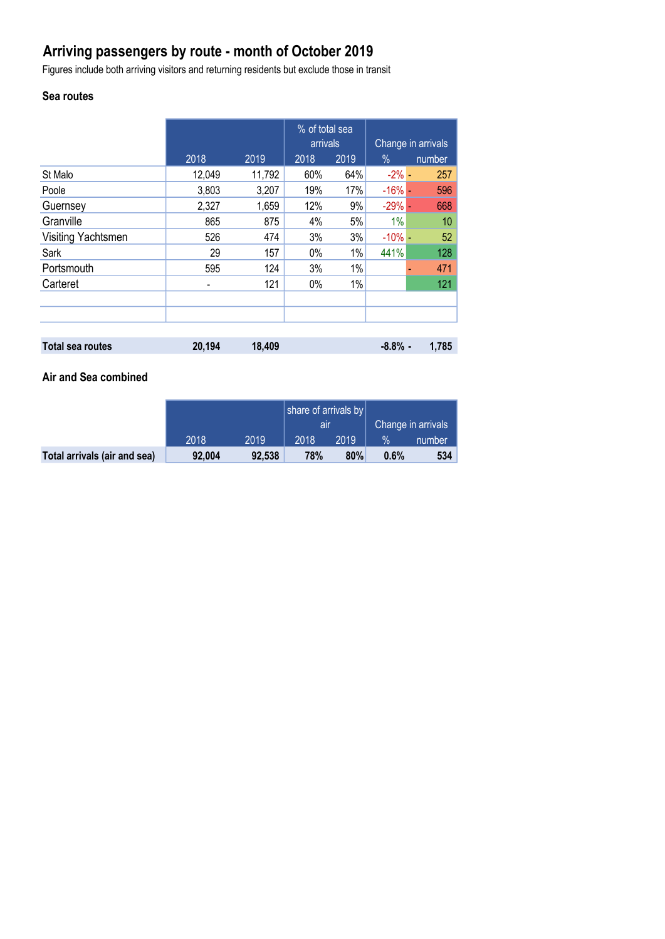# **Arriving passengers by route - month of October 2019**

Figures include both arriving visitors and returning residents but exclude those in transit

## **Sea routes**

|                         |        |        | % of total sea<br>arrivals |      | Change in arrivals |        |
|-------------------------|--------|--------|----------------------------|------|--------------------|--------|
|                         | 2018   | 2019   | 2018                       | 2019 | $\%$               | number |
| St Malo                 | 12,049 | 11,792 | 60%                        | 64%  | $-2\%$ -           | 257    |
| Poole                   | 3,803  | 3,207  | 19%                        | 17%  | $-16%$ -           | 596    |
| Guernsey                | 2,327  | 1,659  | 12%                        | 9%   | $-29%$ $-$         | 668    |
| Granville               | 865    | 875    | 4%                         | 5%   | 1%                 | 10     |
| Visiting Yachtsmen      | 526    | 474    | 3%                         | 3%   | $-10\%$ -          | 52     |
| Sark                    | 29     | 157    | 0%                         | 1%   | 441%               | 128    |
| Portsmouth              | 595    | 124    | 3%                         | 1%   |                    | 471    |
| Carteret                | -      | 121    | 0%                         | 1%   |                    | 121    |
|                         |        |        |                            |      |                    |        |
|                         |        |        |                            |      |                    |        |
|                         |        |        |                            |      |                    |        |
| <b>Total sea routes</b> | 20,194 | 18,409 |                            |      | $-8.8\%$ -         | 1.785  |

### **Air and Sea combined**

|                              |        |        | share of arrivals by |      |                    |        |
|------------------------------|--------|--------|----------------------|------|--------------------|--------|
|                              |        |        | all                  |      | Change in arrivals |        |
|                              | 2018   | 2019   | 2018                 | 2019 | $\%$               | number |
| Total arrivals (air and sea) | 92.004 | 92,538 | 78%                  | 80%  | 0.6%               | 534    |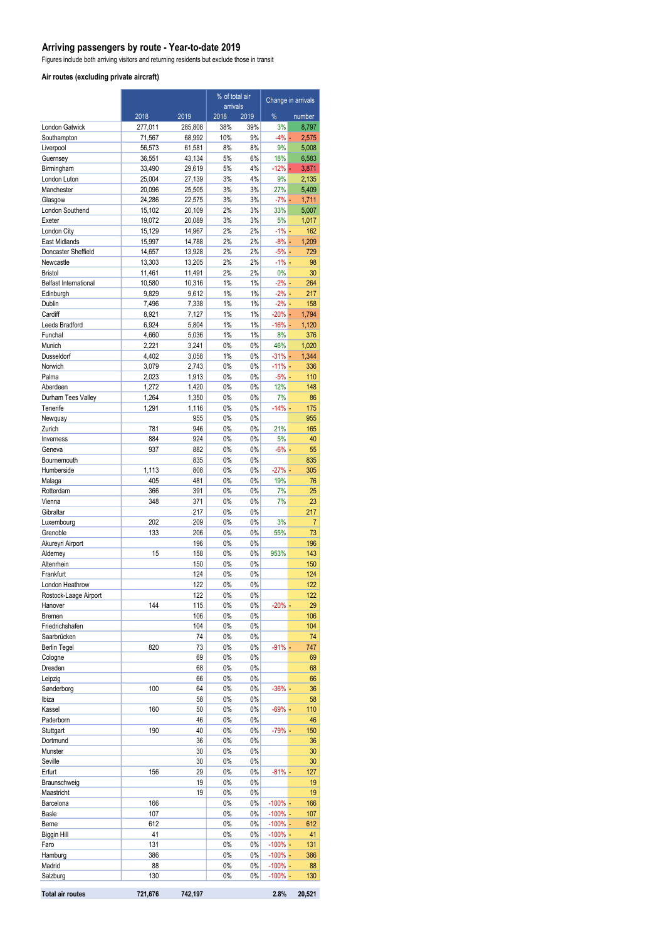#### **Arriving passengers by route - Year-to-date 2019**

Figures include both arriving visitors and returning residents but exclude those in transit

#### **Air routes (excluding private aircraft)**

|                                          |                  |                  | % of total air<br>arrivals |          | Change in arrivals       |                |
|------------------------------------------|------------------|------------------|----------------------------|----------|--------------------------|----------------|
|                                          | 2018             | 2019             | 2018                       | 2019     | %                        | number         |
| <b>London Gatwick</b>                    | 277,011          | 285,808          | 38%                        | 39%      | 3%                       | 8,797          |
| Southampton                              | 71,567           | 68,992           | 10%                        | 9%       | $-4% -$                  | 2,575          |
| Liverpool                                | 56,573           | 61,581           | 8%                         | 8%       | 9%                       | 5,008          |
| Guernsey<br>Birmingham                   | 36,551<br>33,490 | 43,134<br>29,619 | 5%<br>5%                   | 6%<br>4% | 18%<br>$-12% -$          | 6,583<br>3,871 |
| London Luton                             | 25,004           | 27,139           | 3%                         | 4%       | 9%                       | 2,135          |
| Manchester                               | 20,096           | 25,505           | 3%                         | 3%       | 27%                      | 5,409          |
| Glasgow                                  | 24,286           | 22,575           | 3%                         | 3%       | $-7% -$                  | 1,711          |
| London Southend                          | 15,102           | 20,109           | 2%                         | 3%       | 33%                      | 5,007          |
| Exeter                                   | 19.072           | 20,089           | 3%                         | 3%       | 5%                       | 1,017          |
| London City                              | 15,129           | 14,967           | 2%                         | 2%       | $-1\%$ -                 | 162            |
| East Midlands<br>Doncaster Sheffield     | 15,997<br>14,657 | 14,788<br>13,928 | 2%<br>2%                   | 2%<br>2% | $-8\% -$<br>$-5% -$      | 1,209<br>729   |
| Newcastle                                | 13,303           | 13,205           | 2%                         | 2%       | $-1\%$ –                 | 98             |
| <b>Bristol</b>                           | 11,461           | 11,491           | 2%                         | 2%       | 0%                       | 30             |
| <b>Belfast International</b>             | 10,580           | 10,316           | 1%                         | 1%       | $-2\%$ -                 | 264            |
| Edinburgh                                | 9,829            | 9,612            | 1%                         | 1%       | $-2\%$ -                 | 217            |
| Dublin                                   | 7,496            | 7,338            | 1%                         | 1%       | $-2\%$ -                 | 158            |
| Cardiff                                  | 8,921            | 7,127            | 1%                         | 1%       | $-20% -$                 | 1,794          |
| Leeds Bradford<br>Funchal                | 6,924            | 5,804            | 1%<br>1%                   | 1%<br>1% | $-16%$ -<br>8%           | 1,120<br>376   |
| Munich                                   | 4,660<br>2,221   | 5,036<br>3,241   | 0%                         | 0%       | 46%                      | 1,020          |
| Dusseldorf                               | 4,402            | 3,058            | 1%                         | 0%       | $-31\%$ -                | 1,344          |
| Norwich                                  | 3,079            | 2,743            | 0%                         | 0%       | $-11% -$                 | 336            |
| Palma                                    | 2,023            | 1,913            | 0%                         | 0%       | $-5%$ $-$                | 110            |
| Aberdeen                                 | 1,272            | 1,420            | 0%                         | 0%       | 12%                      | 148            |
| Durham Tees Valley                       | 1,264            | 1,350            | 0%                         | 0%       | 7%                       | 86             |
| Tenerife                                 | 1,291            | 1,116<br>955     | 0%<br>0%                   | 0%<br>0% | $-14% -$                 | 175<br>955     |
| Newquay<br>Zurich                        | 781              | 946              | 0%                         | 0%       | 21%                      | 165            |
| Inverness                                | 884              | 924              | 0%                         | 0%       | 5%                       | 40             |
| Geneva                                   | 937              | 882              | 0%                         | 0%       | $-6\%$ -                 | 55             |
| Bournemouth                              |                  | 835              | 0%                         | 0%       |                          | 835            |
| Humberside                               | 1,113            | 808              | 0%                         | 0%       | $-27%$ -                 | 305            |
| Malaga                                   | 405              | 481              | 0%                         | 0%       | 19%                      | 76             |
| Rotterdam                                | 366              | 391              | 0%                         | 0%       | 7%                       | 25             |
| Vienna<br>Gibraltar                      | 348              | 371<br>217       | 0%<br>0%                   | 0%<br>0% | 7%                       | 23<br>217      |
| Luxembourg                               | 202              | 209              | 0%                         | 0%       | 3%                       | $\overline{7}$ |
| Grenoble                                 | 133              | 206              | 0%                         | 0%       | 55%                      | 73             |
| Akureyri Airport                         |                  | 196              | 0%                         | 0%       |                          | 196            |
| Alderney                                 | 15               | 158              | 0%                         | 0%       | 953%                     | 143            |
| Altenrhein                               |                  | 150              | 0%                         | 0%       |                          | 150            |
| Frankfurt                                |                  | 124              | 0%                         | 0%       |                          | 124            |
| London Heathrow<br>Rostock-Laage Airport |                  | 122<br>122       | 0%<br>0%                   | 0%<br>0% |                          | 122<br>122     |
| Hanover                                  | 144              | 115              | 0%                         | 0%       | $-20%$ -                 | 29             |
| Bremen                                   |                  | 106              | 0%                         | 0%       |                          | 106            |
| Friedrichshafen                          |                  | 104              | 0%                         | 0%       |                          | 104            |
| Saarbrücken                              |                  | 74               | 0%                         | 0%       |                          | 74             |
| <b>Berlin Tegel</b>                      | 820              | 73               | 0%                         | 0%       | $-91%$ -                 | 747            |
| Cologne                                  |                  | 69               | 0%                         | 0%       |                          | 69             |
| Dresden                                  |                  | 68<br>66         | 0%<br>0%                   | 0%<br>0% |                          | 68<br>66       |
| Leipzig<br>Sønderborg                    | 100              | 64               | 0%                         | 0%       | $-36%$ -                 | 36             |
| Ibiza                                    |                  | 58               | 0%                         | 0%       |                          | 58             |
| Kassel                                   | 160              | 50               | 0%                         | 0%       | -69% -                   | 110            |
| Paderborn                                |                  | 46               | 0%                         | 0%       |                          | 46             |
| Stuttgart                                | 190              | 40               | 0%                         | 0%       | $-79%$ -                 | 150            |
| Dortmund                                 |                  | 36               | 0%                         | 0%       |                          | 36             |
| Munster<br>Seville                       |                  | 30<br>30         | 0%<br>0%                   | 0%<br>0% |                          | 30<br>30       |
| Erfurt                                   | 156              | 29               | 0%                         | 0%       | $-81\%$ -                | 127            |
| Braunschweig                             |                  | 19               | 0%                         | 0%       |                          | 19             |
| Maastricht                               |                  | 19               | 0%                         | 0%       |                          | 19             |
| Barcelona                                | 166              |                  | 0%                         | 0%       | $-100\%$ -               | 166            |
| <b>Basle</b>                             | 107              |                  | 0%                         | 0%       | $-100\%$ -               | 107            |
| Berne                                    | 612              |                  | 0%                         | 0%       | $-100\%$ -               | 612            |
| Biggin Hill<br>Faro                      | 41<br>131        |                  | 0%<br>0%                   | 0%<br>0% | $-100\%$ -<br>$-100\%$ - | 41<br>131      |
| Hamburg                                  | 386              |                  | 0%                         | 0%       | $-100\%$ -               | 386            |
| Madrid                                   | 88               |                  | 0%                         | 0%       | $-100\%$ -               | 88             |
| Salzburg                                 | 130              |                  | 0%                         | 0%       | $-100\%$ -               | 130            |
| <b>Total air routes</b>                  | 721,676          | 742,197          |                            |          | 2.8%                     | 20,521         |